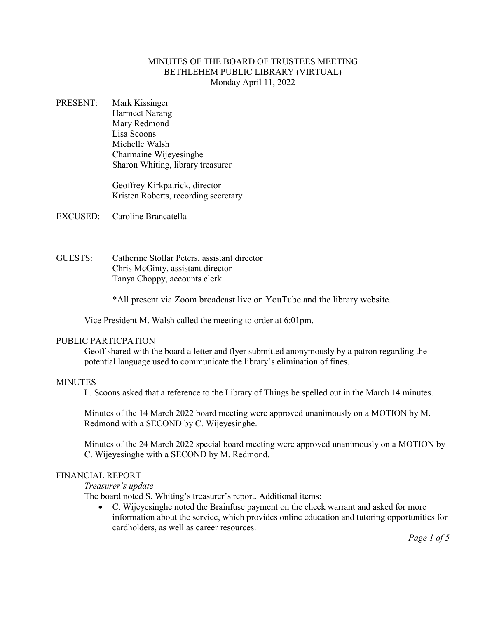# MINUTES OF THE BOARD OF TRUSTEES MEETING BETHLEHEM PUBLIC LIBRARY (VIRTUAL) Monday April 11, 2022

PRESENT: Mark Kissinger Harmeet Narang Mary Redmond Lisa Scoons Michelle Walsh Charmaine Wijeyesinghe Sharon Whiting, library treasurer

> Geoffrey Kirkpatrick, director Kristen Roberts, recording secretary

EXCUSED: Caroline Brancatella

GUESTS: Catherine Stollar Peters, assistant director Chris McGinty, assistant director Tanya Choppy, accounts clerk

\*All present via Zoom broadcast live on YouTube and the library website.

Vice President M. Walsh called the meeting to order at 6:01pm.

#### PUBLIC PARTICPATION

Geoff shared with the board a letter and flyer submitted anonymously by a patron regarding the potential language used to communicate the library's elimination of fines.

#### **MINUTES**

L. Scoons asked that a reference to the Library of Things be spelled out in the March 14 minutes.

Minutes of the 14 March 2022 board meeting were approved unanimously on a MOTION by M. Redmond with a SECOND by C. Wijeyesinghe.

Minutes of the 24 March 2022 special board meeting were approved unanimously on a MOTION by C. Wijeyesinghe with a SECOND by M. Redmond.

#### FINANCIAL REPORT

*Treasurer's update*

The board noted S. Whiting's treasurer's report. Additional items:

• C. Wijeyesinghe noted the Brainfuse payment on the check warrant and asked for more information about the service, which provides online education and tutoring opportunities for cardholders, as well as career resources.

*Page 1 of 5*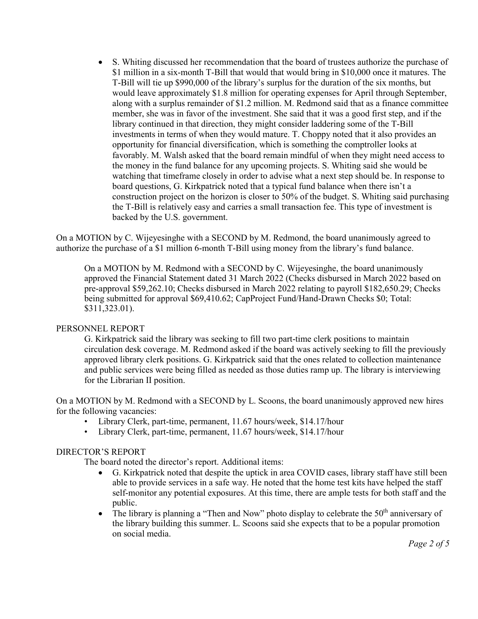• S. Whiting discussed her recommendation that the board of trustees authorize the purchase of \$1 million in a six-month T-Bill that would that would bring in \$10,000 once it matures. The T-Bill will tie up \$990,000 of the library's surplus for the duration of the six months, but would leave approximately \$1.8 million for operating expenses for April through September, along with a surplus remainder of \$1.2 million. M. Redmond said that as a finance committee member, she was in favor of the investment. She said that it was a good first step, and if the library continued in that direction, they might consider laddering some of the T-Bill investments in terms of when they would mature. T. Choppy noted that it also provides an opportunity for financial diversification, which is something the comptroller looks at favorably. M. Walsh asked that the board remain mindful of when they might need access to the money in the fund balance for any upcoming projects. S. Whiting said she would be watching that timeframe closely in order to advise what a next step should be. In response to board questions, G. Kirkpatrick noted that a typical fund balance when there isn't a construction project on the horizon is closer to 50% of the budget. S. Whiting said purchasing the T-Bill is relatively easy and carries a small transaction fee. This type of investment is backed by the U.S. government.

On a MOTION by C. Wijeyesinghe with a SECOND by M. Redmond, the board unanimously agreed to authorize the purchase of a \$1 million 6-month T-Bill using money from the library's fund balance.

On a MOTION by M. Redmond with a SECOND by C. Wijeyesinghe, the board unanimously approved the Financial Statement dated 31 March 2022 (Checks disbursed in March 2022 based on pre-approval \$59,262.10; Checks disbursed in March 2022 relating to payroll \$182,650.29; Checks being submitted for approval \$69,410.62; CapProject Fund/Hand-Drawn Checks \$0; Total: \$311,323.01).

#### PERSONNEL REPORT

G. Kirkpatrick said the library was seeking to fill two part-time clerk positions to maintain circulation desk coverage. M. Redmond asked if the board was actively seeking to fill the previously approved library clerk positions. G. Kirkpatrick said that the ones related to collection maintenance and public services were being filled as needed as those duties ramp up. The library is interviewing for the Librarian II position.

On a MOTION by M. Redmond with a SECOND by L. Scoons, the board unanimously approved new hires for the following vacancies:

- Library Clerk, part-time, permanent, 11.67 hours/week, \$14.17/hour
- Library Clerk, part-time, permanent, 11.67 hours/week, \$14.17/hour

#### DIRECTOR'S REPORT

The board noted the director's report. Additional items:

- G. Kirkpatrick noted that despite the uptick in area COVID cases, library staff have still been able to provide services in a safe way. He noted that the home test kits have helped the staff self-monitor any potential exposures. At this time, there are ample tests for both staff and the public.
- The library is planning a "Then and Now" photo display to celebrate the  $50<sup>th</sup>$  anniversary of the library building this summer. L. Scoons said she expects that to be a popular promotion on social media.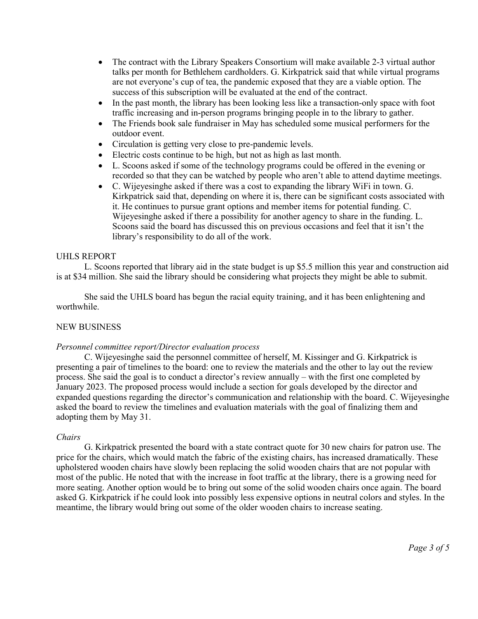- The contract with the Library Speakers Consortium will make available 2-3 virtual author talks per month for Bethlehem cardholders. G. Kirkpatrick said that while virtual programs are not everyone's cup of tea, the pandemic exposed that they are a viable option. The success of this subscription will be evaluated at the end of the contract.
- In the past month, the library has been looking less like a transaction-only space with foot traffic increasing and in-person programs bringing people in to the library to gather.
- The Friends book sale fundraiser in May has scheduled some musical performers for the outdoor event.
- Circulation is getting very close to pre-pandemic levels.
- Electric costs continue to be high, but not as high as last month.
- L. Scoons asked if some of the technology programs could be offered in the evening or recorded so that they can be watched by people who aren't able to attend daytime meetings.
- C. Wijeyesinghe asked if there was a cost to expanding the library WiFi in town. G. Kirkpatrick said that, depending on where it is, there can be significant costs associated with it. He continues to pursue grant options and member items for potential funding. C. Wijeyesinghe asked if there a possibility for another agency to share in the funding. L. Scoons said the board has discussed this on previous occasions and feel that it isn't the library's responsibility to do all of the work.

## UHLS REPORT

L. Scoons reported that library aid in the state budget is up \$5.5 million this year and construction aid is at \$34 million. She said the library should be considering what projects they might be able to submit.

She said the UHLS board has begun the racial equity training, and it has been enlightening and worthwhile.

# NEW BUSINESS

#### *Personnel committee report/Director evaluation process*

C. Wijeyesinghe said the personnel committee of herself, M. Kissinger and G. Kirkpatrick is presenting a pair of timelines to the board: one to review the materials and the other to lay out the review process. She said the goal is to conduct a director's review annually – with the first one completed by January 2023. The proposed process would include a section for goals developed by the director and expanded questions regarding the director's communication and relationship with the board. C. Wijeyesinghe asked the board to review the timelines and evaluation materials with the goal of finalizing them and adopting them by May 31.

#### *Chairs*

G. Kirkpatrick presented the board with a state contract quote for 30 new chairs for patron use. The price for the chairs, which would match the fabric of the existing chairs, has increased dramatically. These upholstered wooden chairs have slowly been replacing the solid wooden chairs that are not popular with most of the public. He noted that with the increase in foot traffic at the library, there is a growing need for more seating. Another option would be to bring out some of the solid wooden chairs once again. The board asked G. Kirkpatrick if he could look into possibly less expensive options in neutral colors and styles. In the meantime, the library would bring out some of the older wooden chairs to increase seating.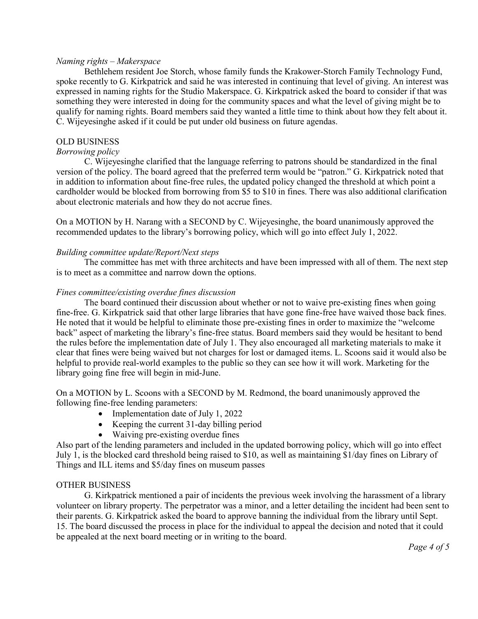## *Naming rights – Makerspace*

Bethlehem resident Joe Storch, whose family funds the Krakower-Storch Family Technology Fund, spoke recently to G. Kirkpatrick and said he was interested in continuing that level of giving. An interest was expressed in naming rights for the Studio Makerspace. G. Kirkpatrick asked the board to consider if that was something they were interested in doing for the community spaces and what the level of giving might be to qualify for naming rights. Board members said they wanted a little time to think about how they felt about it. C. Wijeyesinghe asked if it could be put under old business on future agendas.

# OLD BUSINESS

## *Borrowing policy*

C. Wijeyesinghe clarified that the language referring to patrons should be standardized in the final version of the policy. The board agreed that the preferred term would be "patron." G. Kirkpatrick noted that in addition to information about fine-free rules, the updated policy changed the threshold at which point a cardholder would be blocked from borrowing from \$5 to \$10 in fines. There was also additional clarification about electronic materials and how they do not accrue fines.

On a MOTION by H. Narang with a SECOND by C. Wijeyesinghe, the board unanimously approved the recommended updates to the library's borrowing policy, which will go into effect July 1, 2022.

## *Building committee update/Report/Next steps*

The committee has met with three architects and have been impressed with all of them. The next step is to meet as a committee and narrow down the options.

## *Fines committee/existing overdue fines discussion*

The board continued their discussion about whether or not to waive pre-existing fines when going fine-free. G. Kirkpatrick said that other large libraries that have gone fine-free have waived those back fines. He noted that it would be helpful to eliminate those pre-existing fines in order to maximize the "welcome back" aspect of marketing the library's fine-free status. Board members said they would be hesitant to bend the rules before the implementation date of July 1. They also encouraged all marketing materials to make it clear that fines were being waived but not charges for lost or damaged items. L. Scoons said it would also be helpful to provide real-world examples to the public so they can see how it will work. Marketing for the library going fine free will begin in mid-June.

On a MOTION by L. Scoons with a SECOND by M. Redmond, the board unanimously approved the following fine-free lending parameters:

- Implementation date of July 1, 2022
- Keeping the current 31-day billing period
- Waiving pre-existing overdue fines

Also part of the lending parameters and included in the updated borrowing policy, which will go into effect July 1, is the blocked card threshold being raised to \$10, as well as maintaining \$1/day fines on Library of Things and ILL items and \$5/day fines on museum passes

# OTHER BUSINESS

G. Kirkpatrick mentioned a pair of incidents the previous week involving the harassment of a library volunteer on library property. The perpetrator was a minor, and a letter detailing the incident had been sent to their parents. G. Kirkpatrick asked the board to approve banning the individual from the library until Sept. 15. The board discussed the process in place for the individual to appeal the decision and noted that it could be appealed at the next board meeting or in writing to the board.